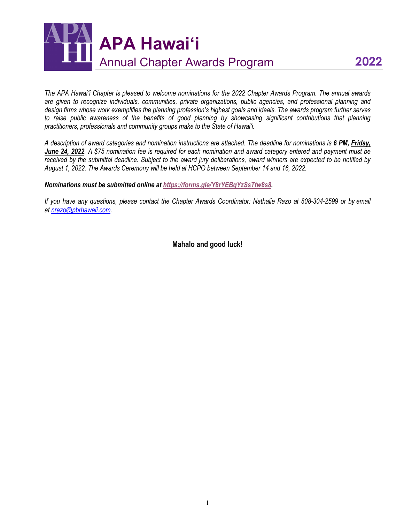

*The APA Hawaiʻi Chapter is pleased to welcome nominations for the 2022 Chapter Awards Program. The annual awards are given to recognize individuals, communities, private organizations, public agencies, and professional planning and design firms whose work exemplifies the planning profession's highest goals and ideals. The awards program further serves*  to raise public awareness of the benefits of good planning by showcasing significant contributions that planning *practitioners, professionals and community groups make to the State of Hawai'i.* 

*A description of award categories and nomination instructions are attached. The deadline for nominations is 6 PM, Friday, June 24, 2022. A \$75 nomination fee is required for each nomination and award category entered and payment must be received by the submittal deadline. Subject to the award jury deliberations, award winners are expected to be notified by August 1, 2022. The Awards Ceremony will be held at HCPO between September 14 and 16, 2022.* 

*Nominations must be submitted online at [https://forms.gle/Y8rYEBqYzSsTtw8s8.](https://forms.gle/Y8rYEBqYzSsTtw8s8)* 

*If you have any questions, please contact the Chapter Awards Coordinator: Nathalie Razo at 808-304-2599 or by email at [nrazo@pbrhawaii.com.](mailto:nrazo@pbrhawaii.com)* 

**Mahalo and good luck!**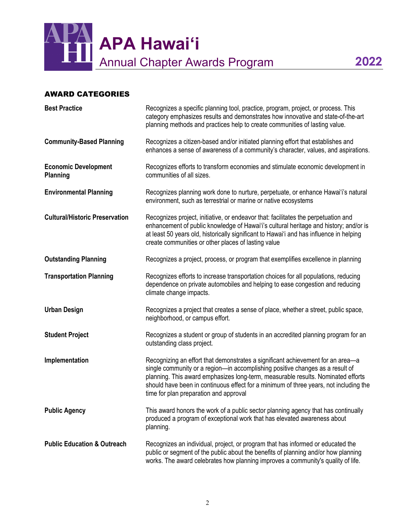

#### AWARD CATEGORIES

| <b>Best Practice</b>                           | Recognizes a specific planning tool, practice, program, project, or process. This<br>category emphasizes results and demonstrates how innovative and state-of-the-art<br>planning methods and practices help to create communities of lasting value.                                                                                                                                    |
|------------------------------------------------|-----------------------------------------------------------------------------------------------------------------------------------------------------------------------------------------------------------------------------------------------------------------------------------------------------------------------------------------------------------------------------------------|
| <b>Community-Based Planning</b>                | Recognizes a citizen-based and/or initiated planning effort that establishes and<br>enhances a sense of awareness of a community's character, values, and aspirations.                                                                                                                                                                                                                  |
| <b>Economic Development</b><br><b>Planning</b> | Recognizes efforts to transform economies and stimulate economic development in<br>communities of all sizes.                                                                                                                                                                                                                                                                            |
| <b>Environmental Planning</b>                  | Recognizes planning work done to nurture, perpetuate, or enhance Hawai'i's natural<br>environment, such as terrestrial or marine or native ecosystems                                                                                                                                                                                                                                   |
| <b>Cultural/Historic Preservation</b>          | Recognizes project, initiative, or endeavor that: facilitates the perpetuation and<br>enhancement of public knowledge of Hawai'i's cultural heritage and history; and/or is<br>at least 50 years old, historically significant to Hawai'i and has influence in helping<br>create communities or other places of lasting value                                                           |
| <b>Outstanding Planning</b>                    | Recognizes a project, process, or program that exemplifies excellence in planning                                                                                                                                                                                                                                                                                                       |
| <b>Transportation Planning</b>                 | Recognizes efforts to increase transportation choices for all populations, reducing<br>dependence on private automobiles and helping to ease congestion and reducing<br>climate change impacts.                                                                                                                                                                                         |
| <b>Urban Design</b>                            | Recognizes a project that creates a sense of place, whether a street, public space,<br>neighborhood, or campus effort.                                                                                                                                                                                                                                                                  |
| <b>Student Project</b>                         | Recognizes a student or group of students in an accredited planning program for an<br>outstanding class project.                                                                                                                                                                                                                                                                        |
| Implementation                                 | Recognizing an effort that demonstrates a significant achievement for an area-a<br>single community or a region-in accomplishing positive changes as a result of<br>planning. This award emphasizes long-term, measurable results. Nominated efforts<br>should have been in continuous effect for a minimum of three years, not including the<br>time for plan preparation and approval |
| <b>Public Agency</b>                           | This award honors the work of a public sector planning agency that has continually<br>produced a program of exceptional work that has elevated awareness about<br>planning.                                                                                                                                                                                                             |
| <b>Public Education &amp; Outreach</b>         | Recognizes an individual, project, or program that has informed or educated the<br>public or segment of the public about the benefits of planning and/or how planning<br>works. The award celebrates how planning improves a community's quality of life.                                                                                                                               |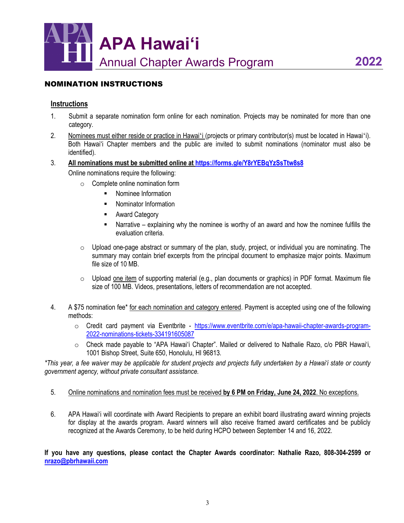

#### NOMINATION INSTRUCTIONS

#### **Instructions**

- 1. Submit a separate nomination form online for each nomination. Projects may be nominated for more than one category.
- 2. Nominees must either reside or practice in Hawaiʻi (projects or primary contributor(s) must be located in Hawaiʻi). Both Hawaiʻi Chapter members and the public are invited to submit nominations (nominator must also be identified).
- 3. **All nominations must be submitted online at<https://forms.gle/Y8rYEBqYzSsTtw8s8>**

Online nominations require the following:

- $\circ$  Complete online nomination form
	- **Nominee Information**
	- **Nominator Information**
	- **-** Award Category
	- Narrative explaining why the nominee is worthy of an award and how the nominee fulfills the evaluation criteria.
- $\circ$  Upload one-page abstract or summary of the plan, study, project, or individual you are nominating. The summary may contain brief excerpts from the principal document to emphasize major points. Maximum file size of 10 MB.
- $\circ$  Upload one item of supporting material (e.g., plan documents or graphics) in PDF format. Maximum file size of 100 MB. Videos, presentations, letters of recommendation are not accepted.
- 4. A \$75 nomination fee\* for each nomination and category entered. Payment is accepted using one of the following methods:
	- o Credit card payment via Eventbrite [https://www.eventbrite.com/e/apa-hawaii-chapter-awards-program-](https://www.eventbrite.com/e/apa-hawaii-chapter-awards-program-2022-nominations-tickets-334191605087)[2022-nominations-tickets-334191605087](https://www.eventbrite.com/e/apa-hawaii-chapter-awards-program-2022-nominations-tickets-334191605087)
	- o Check made payable to "APA Hawaiʻi Chapter". Mailed or delivered to Nathalie Razo, c/o PBR Hawai'i, 1001 Bishop Street, Suite 650, Honolulu, HI 96813.

*\*This year, a fee waiver may be applicable for student projects and projects fully undertaken by a Hawai'i state or county government agency, without private consultant assistance.*

- 5. Online nominations and nomination fees must be received **by 6 PM on Friday, June 24, 2022**. No exceptions.
- 6. APA Hawai'i will coordinate with Award Recipients to prepare an exhibit board illustrating award winning projects for display at the awards program. Award winners will also receive framed award certificates and be publicly recognized at the Awards Ceremony, to be held during HCPO between September 14 and 16, 2022.

**If you have any questions, please contact the Chapter Awards coordinator: Nathalie Razo, 808-304-2599 or [nrazo@pbrhawaii.com](mailto:nrazo@pbrhawaii.com)**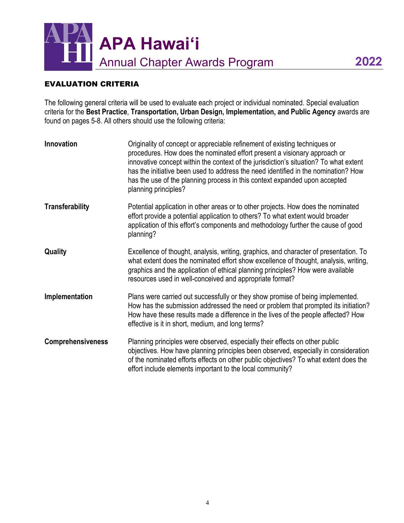

#### EVALUATION CRITERIA

The following general criteria will be used to evaluate each project or individual nominated. Special evaluation criteria for the **Best Practice**, **Transportation, Urban Design, Implementation, and Public Agency** awards are found on pages 5-8. All others should use the following criteria:

| <b>Innovation</b>        | Originality of concept or appreciable refinement of existing techniques or<br>procedures. How does the nominated effort present a visionary approach or<br>innovative concept within the context of the jurisdiction's situation? To what extent<br>has the initiative been used to address the need identified in the nomination? How<br>has the use of the planning process in this context expanded upon accepted<br>planning principles? |
|--------------------------|----------------------------------------------------------------------------------------------------------------------------------------------------------------------------------------------------------------------------------------------------------------------------------------------------------------------------------------------------------------------------------------------------------------------------------------------|
| <b>Transferability</b>   | Potential application in other areas or to other projects. How does the nominated<br>effort provide a potential application to others? To what extent would broader<br>application of this effort's components and methodology further the cause of good<br>planning?                                                                                                                                                                        |
| Quality                  | Excellence of thought, analysis, writing, graphics, and character of presentation. To<br>what extent does the nominated effort show excellence of thought, analysis, writing,<br>graphics and the application of ethical planning principles? How were available<br>resources used in well-conceived and appropriate format?                                                                                                                 |
| Implementation           | Plans were carried out successfully or they show promise of being implemented.<br>How has the submission addressed the need or problem that prompted its initiation?<br>How have these results made a difference in the lives of the people affected? How<br>effective is it in short, medium, and long terms?                                                                                                                               |
| <b>Comprehensiveness</b> | Planning principles were observed, especially their effects on other public<br>objectives. How have planning principles been observed, especially in consideration<br>of the nominated efforts effects on other public objectives? To what extent does the<br>effort include elements important to the local community?                                                                                                                      |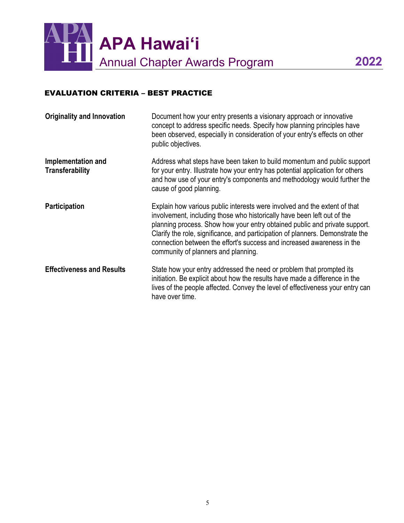

## EVALUATION CRITERIA – BEST PRACTICE

| <b>Originality and Innovation</b>            | Document how your entry presents a visionary approach or innovative<br>concept to address specific needs. Specify how planning principles have<br>been observed, especially in consideration of your entry's effects on other<br>public objectives.                                                                                                                                                                                   |
|----------------------------------------------|---------------------------------------------------------------------------------------------------------------------------------------------------------------------------------------------------------------------------------------------------------------------------------------------------------------------------------------------------------------------------------------------------------------------------------------|
| Implementation and<br><b>Transferability</b> | Address what steps have been taken to build momentum and public support<br>for your entry. Illustrate how your entry has potential application for others<br>and how use of your entry's components and methodology would further the<br>cause of good planning.                                                                                                                                                                      |
| <b>Participation</b>                         | Explain how various public interests were involved and the extent of that<br>involvement, including those who historically have been left out of the<br>planning process. Show how your entry obtained public and private support.<br>Clarify the role, significance, and participation of planners. Demonstrate the<br>connection between the effort's success and increased awareness in the<br>community of planners and planning. |
| <b>Effectiveness and Results</b>             | State how your entry addressed the need or problem that prompted its<br>initiation. Be explicit about how the results have made a difference in the<br>lives of the people affected. Convey the level of effectiveness your entry can<br>have over time.                                                                                                                                                                              |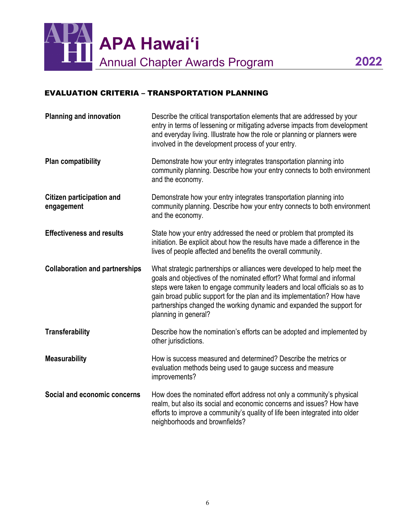

### EVALUATION CRITERIA – TRANSPORTATION PLANNING

| <b>Planning and innovation</b>                 | Describe the critical transportation elements that are addressed by your<br>entry in terms of lessening or mitigating adverse impacts from development<br>and everyday living. Illustrate how the role or planning or planners were<br>involved in the development process of your entry.                                                                                                                   |
|------------------------------------------------|-------------------------------------------------------------------------------------------------------------------------------------------------------------------------------------------------------------------------------------------------------------------------------------------------------------------------------------------------------------------------------------------------------------|
| <b>Plan compatibility</b>                      | Demonstrate how your entry integrates transportation planning into<br>community planning. Describe how your entry connects to both environment<br>and the economy.                                                                                                                                                                                                                                          |
| <b>Citizen participation and</b><br>engagement | Demonstrate how your entry integrates transportation planning into<br>community planning. Describe how your entry connects to both environment<br>and the economy.                                                                                                                                                                                                                                          |
| <b>Effectiveness and results</b>               | State how your entry addressed the need or problem that prompted its<br>initiation. Be explicit about how the results have made a difference in the<br>lives of people affected and benefits the overall community.                                                                                                                                                                                         |
| <b>Collaboration and partnerships</b>          | What strategic partnerships or alliances were developed to help meet the<br>goals and objectives of the nominated effort? What formal and informal<br>steps were taken to engage community leaders and local officials so as to<br>gain broad public support for the plan and its implementation? How have<br>partnerships changed the working dynamic and expanded the support for<br>planning in general? |
| <b>Transferability</b>                         | Describe how the nomination's efforts can be adopted and implemented by<br>other jurisdictions.                                                                                                                                                                                                                                                                                                             |
| <b>Measurability</b>                           | How is success measured and determined? Describe the metrics or<br>evaluation methods being used to gauge success and measure<br>improvements?                                                                                                                                                                                                                                                              |
| Social and economic concerns                   | How does the nominated effort address not only a community's physical<br>realm, but also its social and economic concerns and issues? How have<br>efforts to improve a community's quality of life been integrated into older<br>neighborhoods and brownfields?                                                                                                                                             |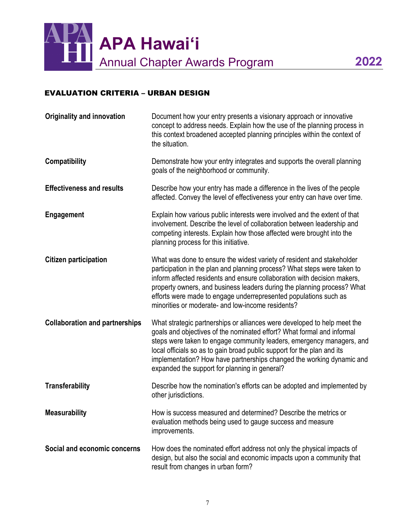

# EVALUATION CRITERIA – URBAN DESIGN

| <b>Originality and innovation</b>     | Document how your entry presents a visionary approach or innovative<br>concept to address needs. Explain how the use of the planning process in<br>this context broadened accepted planning principles within the context of<br>the situation.                                                                                                                                                                                     |
|---------------------------------------|------------------------------------------------------------------------------------------------------------------------------------------------------------------------------------------------------------------------------------------------------------------------------------------------------------------------------------------------------------------------------------------------------------------------------------|
| <b>Compatibility</b>                  | Demonstrate how your entry integrates and supports the overall planning<br>goals of the neighborhood or community.                                                                                                                                                                                                                                                                                                                 |
| <b>Effectiveness and results</b>      | Describe how your entry has made a difference in the lives of the people<br>affected. Convey the level of effectiveness your entry can have over time.                                                                                                                                                                                                                                                                             |
| <b>Engagement</b>                     | Explain how various public interests were involved and the extent of that<br>involvement. Describe the level of collaboration between leadership and<br>competing interests. Explain how those affected were brought into the<br>planning process for this initiative.                                                                                                                                                             |
| <b>Citizen participation</b>          | What was done to ensure the widest variety of resident and stakeholder<br>participation in the plan and planning process? What steps were taken to<br>inform affected residents and ensure collaboration with decision makers,<br>property owners, and business leaders during the planning process? What<br>efforts were made to engage underrepresented populations such as<br>minorities or moderate- and low-income residents? |
| <b>Collaboration and partnerships</b> | What strategic partnerships or alliances were developed to help meet the<br>goals and objectives of the nominated effort? What formal and informal<br>steps were taken to engage community leaders, emergency managers, and<br>local officials so as to gain broad public support for the plan and its<br>implementation? How have partnerships changed the working dynamic and<br>expanded the support for planning in general?   |
| <b>Transferability</b>                | Describe how the nomination's efforts can be adopted and implemented by<br>other jurisdictions.                                                                                                                                                                                                                                                                                                                                    |
| <b>Measurability</b>                  | How is success measured and determined? Describe the metrics or<br>evaluation methods being used to gauge success and measure<br>improvements.                                                                                                                                                                                                                                                                                     |
| Social and economic concerns          | How does the nominated effort address not only the physical impacts of<br>design, but also the social and economic impacts upon a community that<br>result from changes in urban form?                                                                                                                                                                                                                                             |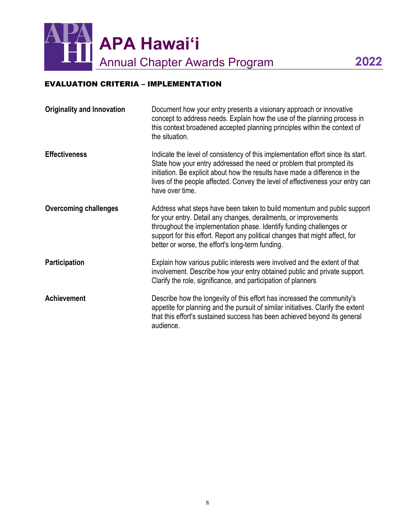

# EVALUATION CRITERIA – IMPLEMENTATION

| <b>Originality and Innovation</b> | Document how your entry presents a visionary approach or innovative<br>concept to address needs. Explain how the use of the planning process in<br>this context broadened accepted planning principles within the context of<br>the situation.                                                                                                         |
|-----------------------------------|--------------------------------------------------------------------------------------------------------------------------------------------------------------------------------------------------------------------------------------------------------------------------------------------------------------------------------------------------------|
| <b>Effectiveness</b>              | Indicate the level of consistency of this implementation effort since its start.<br>State how your entry addressed the need or problem that prompted its<br>initiation. Be explicit about how the results have made a difference in the<br>lives of the people affected. Convey the level of effectiveness your entry can<br>have over time.           |
| <b>Overcoming challenges</b>      | Address what steps have been taken to build momentum and public support<br>for your entry. Detail any changes, derailments, or improvements<br>throughout the implementation phase. Identify funding challenges or<br>support for this effort. Report any political changes that might affect, for<br>better or worse, the effort's long-term funding. |
| <b>Participation</b>              | Explain how various public interests were involved and the extent of that<br>involvement. Describe how your entry obtained public and private support.<br>Clarify the role, significance, and participation of planners                                                                                                                                |
| <b>Achievement</b>                | Describe how the longevity of this effort has increased the community's<br>appetite for planning and the pursuit of similar initiatives. Clarify the extent<br>that this effort's sustained success has been achieved beyond its general<br>audience.                                                                                                  |